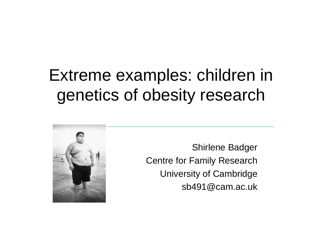# Extreme examples: children in genetics of obesity research



Shirlene Badger Centre for Family Research University of Cambridge sb491@cam.ac.uk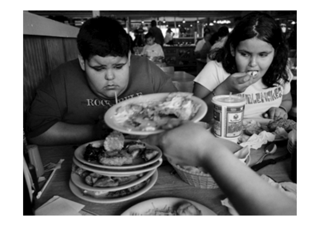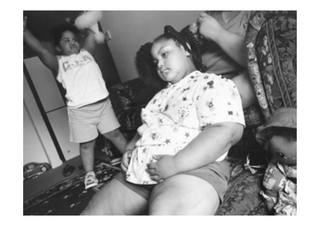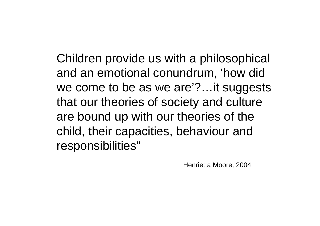Children provide us with a philosophical and an emotional conundrum, 'how did we come to be as we are'?…it suggests that our theories of society and culture are bound up with our theories of the child, their capacities, behaviour and responsibilities"

Henrietta Moore, 2004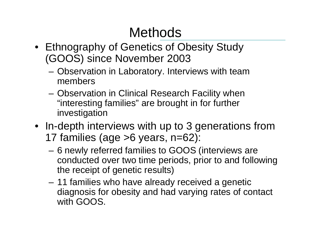## **Methods**

- Ethnography of Genetics of Obesity Study (GOOS) since November 2003
	- Observation in Laboratory. Interviews with team members
	- Observation in Clinical Research Facility when "interesting families" are brought in for further investigation
- In-depth interviews with up to 3 generations from 17 families (age >6 years, n=62):
	- 6 newly referred families to GOOS (interviews are conducted over two time periods, prior to and following the receipt of genetic results)
	- 11 families who have already received a genetic diagnosis for obesity and had varying rates of contact with GOOS.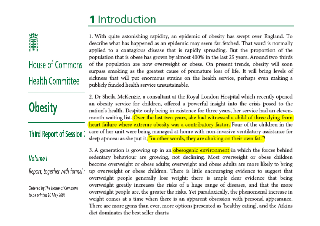### **1** Introduction

**House of Commons Health Committee** 

### **Obesity**

#### Third Report of Session:

#### Volume I

Report, together with formal r

Ordered by The House of Commons to be printed 10 May 2004

1. With quite astonishing rapidity, an epidemic of obesity has swept over England. To describe what has happened as an epidemic may seem far-fetched. That word is normally applied to a contagious disease that is rapidly spreading. But the proportion of the population that is obese has grown by almost 400% in the last 25 years. Around two-thirds of the population are now overweight or obese. On present trends, obesity will soon surpass smoking as the greatest cause of premature loss of life. It will bring levels of sickness that will put enormous strains on the health service, perhaps even making a publicly funded health service unsustainable.

2. Dr Sheila McKenzie, a consultant at the Royal London Hospital which recently opened an obesity service for children, offered a powerful insight into the crisis posed to the nation's health. Despite only being in existence for three years, her service had an elevenmonth waiting list. Over the last two years, she had witnessed a child of three dying from heart failure where extreme obesity was a contributory factor. Four of the children in the care of her unit were being managed at home with non-invasive ventilatory assistance for sleep apnoea: as she put it, "in other words, they are choking on their own fat."

3. A generation is growing up in an obesogenic environment in which the forces behind sedentary behaviour are growing, not declining. Most overweight or obese children become overweight or obese adults; overweight and obese adults are more likely to bring up overweight or obese children. There is little encouraging evidence to suggest that overweight people generally lose weight; there is ample clear evidence that being overweight greatly increases the risks of a huge range of diseases, and that the more overweight people are, the greater the risks. Yet paradoxically, the phenomenal increase in weight comes at a time when there is an apparent obsession with personal appearance. There are more gyms than ever, more options presented as 'healthy eating', and the Atkins diet dominates the best seller charts.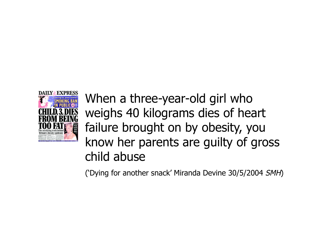

When a three-year-old girl who weighs 40 kilograms dies of heart failure brought on by obesity, you know her parents are guilty of gross child abuse

('Dying for another snack' Miranda Devine 30/5/2004 SMH)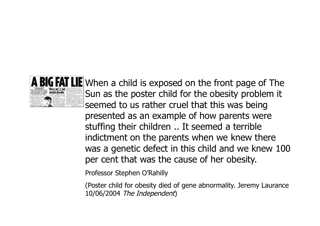

A BIG FAT LIE When a child is exposed on the front page of The Sun as the poster child for the obesity problem it seemed to us rather cruel that this was being presented as an example of how parents were stuffing their children .. It seemed a terrible indictment on the parents when we knew there was a genetic defect in this child and we knew 100 per cent that was the cause of her obesity.

Professor Stephen O'Rahilly

(Poster child for obesity died of gene abnormality. Jeremy Laurance 10/06/2004 The Independent)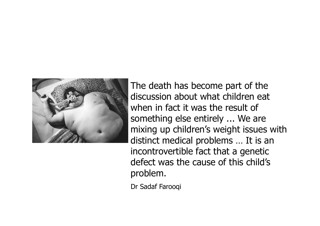

The death has become part of the discussion about what children eat when in fact it was the result of something else entirely ... We are mixing up children's weight issues with distinct medical problems … It is an incontrovertible fact that a genetic defect was the cause of this child's problem.

Dr Sadaf Farooqi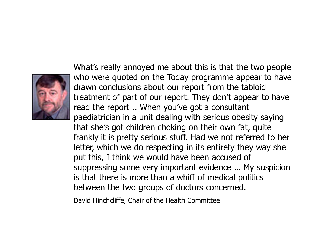

What's really annoyed me about this is that the two people who were quoted on the Today programme appear to have drawn conclusions about our report from the tabloid treatment of part of our report. They don't appear to have read the report .. When you've got a consultant paediatrician in a unit dealing with serious obesity saying that she's got children choking on their own fat, quite frankly it is pretty serious stuff. Had we not referred to her letter, which we do respecting in its entirety they way she put this, I think we would have been accused of suppressing some very important evidence … My suspicion is that there is more than a whiff of medical politics between the two groups of doctors concerned.

David Hinchcliffe, Chair of the Health Committee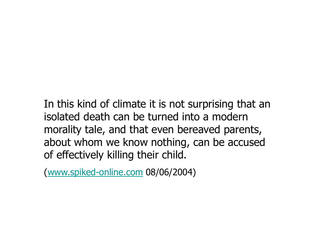In this kind of climate it is not surprising that an isolated death can be turned into a modern morality tale, and that even bereaved parents, about whom we know nothing, can be accused of effectively killing their child.

(www.spiked-online.com 08/06/2004)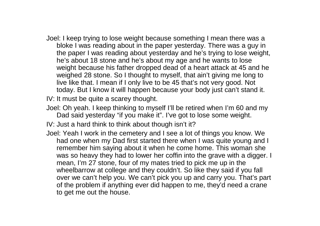Joel: I keep trying to lose weight because something I mean there was a bloke I was reading about in the paper yesterday. There was a guy in the paper I was reading about yesterday and he's trying to lose weight, he's about 18 stone and he's about my age and he wants to lose weight because his father dropped dead of a heart attack at 45 and he weighed 28 stone. So I thought to myself, that ain't giving me long to live like that. I mean if I only live to be 45 that's not very good. Not today. But I know it will happen because your body just can't stand it.

IV: It must be quite a scarey thought.

Joel: Oh yeah. I keep thinking to myself I'll be retired when I'm 60 and my Dad said yesterday "if you make it". I've got to lose some weight.

IV: Just a hard think to think about though isn't it?

Joel: Yeah I work in the cemetery and I see a lot of things you know. We had one when my Dad first started there when I was quite young and I remember him saying about it when he come home. This woman she was so heavy they had to lower her coffin into the grave with a digger. I mean, I'm 27 stone, four of my mates tried to pick me up in the wheelbarrow at college and they couldn't. So like they said if you fall over we can't help you. We can't pick you up and carry you. That's part of the problem if anything ever did happen to me, they'd need a crane to get me out the house.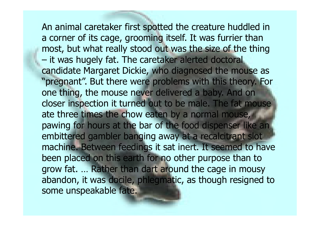An animal caretaker first spotted the creature huddled in a corner of its cage, grooming itself. It was furrier than most, but what really stood out was the size of the thing – it was hugely fat. The caretaker alerted doctoral candidate Margaret Dickie, who diagnosed the mouse as "pregnant". But there were problems with this theory. For one thing, the mouse never delivered a baby. And on closer inspection it turned out to be male. The fat mouse ate three times the chow eaten by a normal mouse, pawing for hours at the bar of the food dispenser like an embittered gambler banging away at a recalcitrant slot machine. Between feedings it sat inert. It seemed to have been placed on this earth for no other purpose than to grow fat. … Rather than dart around the cage in mousy abandon, it was docile, phlegmatic, as though resigned to some unspeakable fate.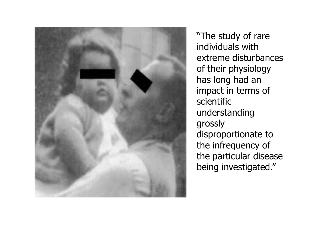

"The study of rare individuals with extreme disturbances of their physiology has long had an impact in terms of scientific understanding grossly disproportionate to the infrequency of the particular disease being investigated."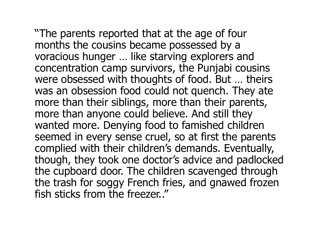"The parents reported that at the age of four months the cousins became possessed by a voracious hunger … like starving explorers and concentration camp survivors, the Punjabi cousins were obsessed with thoughts of food. But … theirs was an obsession food could not quench. They ate more than their siblings, more than their parents, more than anyone could believe. And still they wanted more. Denying food to famished children seemed in every sense cruel, so at first the parents complied with their children's demands. Eventually, though, they took one doctor's advice and padlocked the cupboard door. The children scavenged through the trash for soggy French fries, and gnawed frozen fish sticks from the freezer.."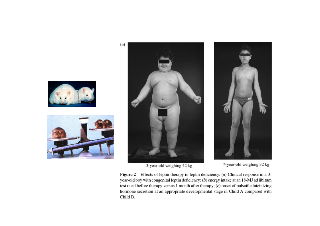





3-year-old weighing 42 kg



Figure 2 Effects of leptin therapy in leptin deficiency.  $(a)$  Clinical response in a 3year-old boy with congenital leptin deficiency;  $(b)$  energy intake at an 18-MJ ad libitum test meal before therapy versus 1 month after therapy;  $(c)$  onset of pulsatile luteinizing hormone secretion at an appropriate developmental stage in Child A compared with Child B.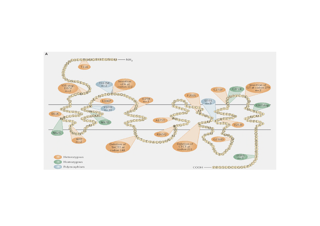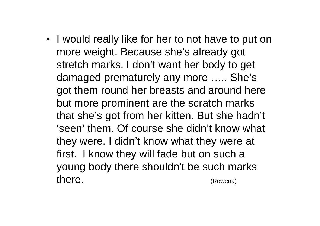• I would really like for her to not have to put on more weight. Because she's already got stretch marks. I don't want her body to get damaged prematurely any more ….. She's got them round her breasts and around here but more prominent are the scratch marks that she's got from her kitten. But she hadn't 'seen' them. Of course she didn't know what they were. I didn't know what they were at first. I know they will fade but on such a young body there shouldn't be such marks there. (Rowena)